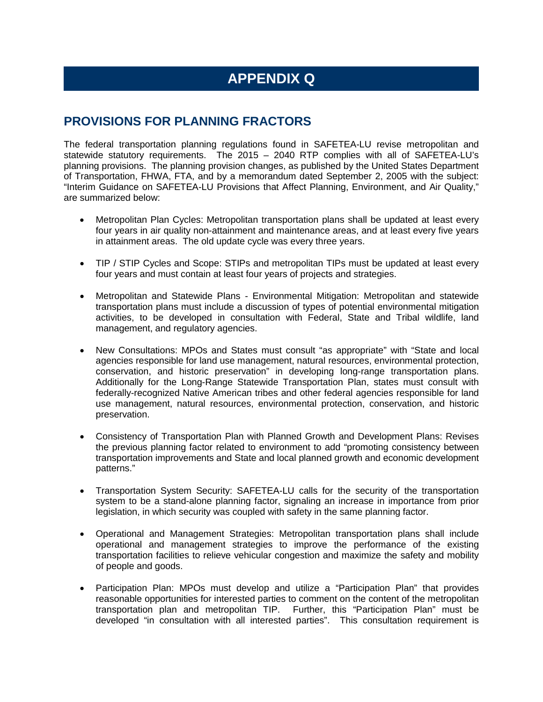## **APPENDIX Q**

## **PROVISIONS FOR PLANNING FRACTORS**

The federal transportation planning regulations found in SAFETEA-LU revise metropolitan and statewide statutory requirements. The 2015 – 2040 RTP complies with all of SAFETEA-LU's planning provisions. The planning provision changes, as published by the United States Department of Transportation, FHWA, FTA, and by a memorandum dated September 2, 2005 with the subject: "Interim Guidance on SAFETEA-LU Provisions that Affect Planning, Environment, and Air Quality," are summarized below:

- Metropolitan Plan Cycles: Metropolitan transportation plans shall be updated at least every four years in air quality non-attainment and maintenance areas, and at least every five years in attainment areas. The old update cycle was every three years.
- TIP / STIP Cycles and Scope: STIPs and metropolitan TIPs must be updated at least every four years and must contain at least four years of projects and strategies.
- Metropolitan and Statewide Plans Environmental Mitigation: Metropolitan and statewide transportation plans must include a discussion of types of potential environmental mitigation activities, to be developed in consultation with Federal, State and Tribal wildlife, land management, and regulatory agencies.
- New Consultations: MPOs and States must consult "as appropriate" with "State and local agencies responsible for land use management, natural resources, environmental protection, conservation, and historic preservation" in developing long-range transportation plans. Additionally for the Long-Range Statewide Transportation Plan, states must consult with federally-recognized Native American tribes and other federal agencies responsible for land use management, natural resources, environmental protection, conservation, and historic preservation.
- Consistency of Transportation Plan with Planned Growth and Development Plans: Revises the previous planning factor related to environment to add "promoting consistency between transportation improvements and State and local planned growth and economic development patterns."
- Transportation System Security: SAFETEA-LU calls for the security of the transportation system to be a stand-alone planning factor, signaling an increase in importance from prior legislation, in which security was coupled with safety in the same planning factor.
- Operational and Management Strategies: Metropolitan transportation plans shall include operational and management strategies to improve the performance of the existing transportation facilities to relieve vehicular congestion and maximize the safety and mobility of people and goods.
- Participation Plan: MPOs must develop and utilize a "Participation Plan" that provides reasonable opportunities for interested parties to comment on the content of the metropolitan transportation plan and metropolitan TIP. Further, this "Participation Plan" must be developed "in consultation with all interested parties". This consultation requirement is